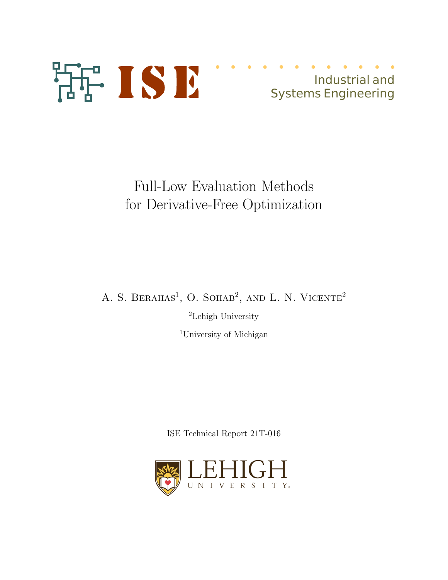

# Industrial and Systems Engineering

Full-Low Evaluation Methods for Derivative-Free Optimization

A. S. BERAHAS<sup>1</sup>, O. SOHAB<sup>2</sup>, AND L. N. VICENTE<sup>2</sup>

<sup>2</sup>Lehigh University

<sup>1</sup>University of Michigan

ISE Technical Report 21T-016

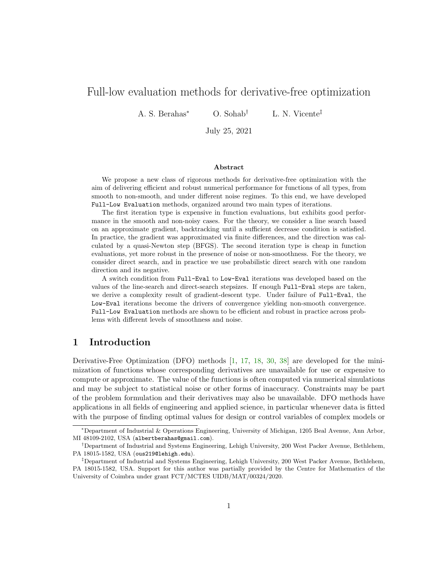# Full-low evaluation methods for derivative-free optimization

A. S. Berahas<sup>∗</sup> O. Sohab† L. N. Vicente‡

July 25, 2021

#### Abstract

We propose a new class of rigorous methods for derivative-free optimization with the aim of delivering efficient and robust numerical performance for functions of all types, from smooth to non-smooth, and under different noise regimes. To this end, we have developed Full-Low Evaluation methods, organized around two main types of iterations.

The first iteration type is expensive in function evaluations, but exhibits good performance in the smooth and non-noisy cases. For the theory, we consider a line search based on an approximate gradient, backtracking until a sufficient decrease condition is satisfied. In practice, the gradient was approximated via finite differences, and the direction was calculated by a quasi-Newton step (BFGS). The second iteration type is cheap in function evaluations, yet more robust in the presence of noise or non-smoothness. For the theory, we consider direct search, and in practice we use probabilistic direct search with one random direction and its negative.

A switch condition from Full-Eval to Low-Eval iterations was developed based on the values of the line-search and direct-search stepsizes. If enough Full-Eval steps are taken, we derive a complexity result of gradient-descent type. Under failure of Full-Eval, the Low-Eval iterations become the drivers of convergence yielding non-smooth convergence. Full-Low Evaluation methods are shown to be efficient and robust in practice across problems with different levels of smoothness and noise.

# 1 Introduction

Derivative-Free Optimization (DFO) methods [1, 17, 18, 30, 38] are developed for the minimization of functions whose corresponding derivatives are unavailable for use or expensive to compute or approximate. The value of the functions is often computed via numerical simulations and may be subject to statistical noise or other forms of inaccuracy. Constraints may be part of the problem formulation and their derivatives may also be unavailable. DFO methods have applications in all fields of engineering and applied science, in particular whenever data is fitted with the purpose of finding optimal values for design or control variables of complex models or

<sup>∗</sup>Department of Industrial & Operations Engineering, University of Michigan, 1205 Beal Avenue, Ann Arbor, MI 48109-2102, USA (albertberahas@gmail.com).

<sup>†</sup>Department of Industrial and Systems Engineering, Lehigh University, 200 West Packer Avenue, Bethlehem, PA 18015-1582, USA (ous219@lehigh.edu).

<sup>‡</sup>Department of Industrial and Systems Engineering, Lehigh University, 200 West Packer Avenue, Bethlehem, PA 18015-1582, USA. Support for this author was partially provided by the Centre for Mathematics of the University of Coimbra under grant FCT/MCTES UIDB/MAT/00324/2020.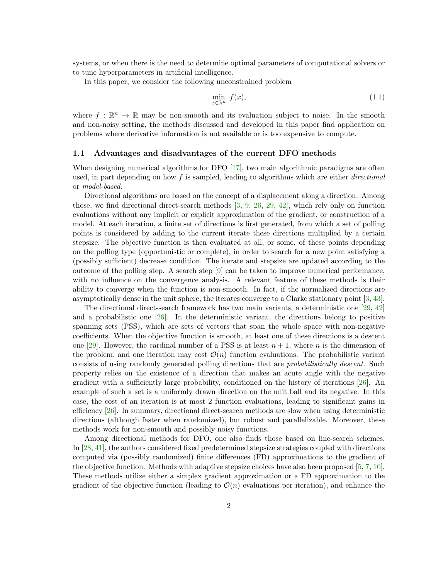systems, or when there is the need to determine optimal parameters of computational solvers or to tune hyperparameters in artificial intelligence.

In this paper, we consider the following unconstrained problem

$$
\min_{x \in \mathbb{R}^n} f(x),\tag{1.1}
$$

where  $f : \mathbb{R}^n \to \mathbb{R}$  may be non-smooth and its evaluation subject to noise. In the smooth and non-noisy setting, the methods discussed and developed in this paper find application on problems where derivative information is not available or is too expensive to compute.

## 1.1 Advantages and disadvantages of the current DFO methods

When designing numerical algorithms for DFO [17], two main algorithmic paradigms are often used, in part depending on how  $f$  is sampled, leading to algorithms which are either *directional* or model-based.

Directional algorithms are based on the concept of a displacement along a direction. Among those, we find directional direct-search methods [3, 9, 26, 29, 42], which rely only on function evaluations without any implicit or explicit approximation of the gradient, or construction of a model. At each iteration, a finite set of directions is first generated, from which a set of polling points is considered by adding to the current iterate these directions multiplied by a certain stepsize. The objective function is then evaluated at all, or some, of these points depending on the polling type (opportunistic or complete), in order to search for a new point satisfying a (possibly sufficient) decrease condition. The iterate and stepsize are updated according to the outcome of the polling step. A search step  $[9]$  can be taken to improve numerical performance, with no influence on the convergence analysis. A relevant feature of these methods is their ability to converge when the function is non-smooth. In fact, if the normalized directions are asymptotically dense in the unit sphere, the iterates converge to a Clarke stationary point [3, 43].

The directional direct-search framework has two main variants, a deterministic one [29, 42] and a probabilistic one [26]. In the deterministic variant, the directions belong to positive spanning sets (PSS), which are sets of vectors that span the whole space with non-negative coefficients. When the objective function is smooth, at least one of these directions is a descent one [29]. However, the cardinal number of a PSS is at least  $n + 1$ , where n is the dimension of the problem, and one iteration may cost  $\mathcal{O}(n)$  function evaluations. The probabilistic variant consists of using randomly generated polling directions that are probabilistically descent. Such property relies on the existence of a direction that makes an acute angle with the negative gradient with a sufficiently large probability, conditioned on the history of iterations [26]. An example of such a set is a uniformly drawn direction on the unit ball and its negative. In this case, the cost of an iteration is at most 2 function evaluations, leading to significant gains in efficiency [26]. In summary, directional direct-search methods are slow when using deterministic directions (although faster when randomized), but robust and parallelizable. Moreover, these methods work for non-smooth and possibly noisy functions.

Among directional methods for DFO, one also finds those based on line-search schemes. In [28, 41], the authors considered fixed predetermined stepsize strategies coupled with directions computed via (possibly randomized) finite differences (FD) approximations to the gradient of the objective function. Methods with adaptive stepsize choices have also been proposed [5, 7, 10]. These methods utilize either a simplex gradient approximation or a FD approximation to the gradient of the objective function (leading to  $\mathcal{O}(n)$  evaluations per iteration), and enhance the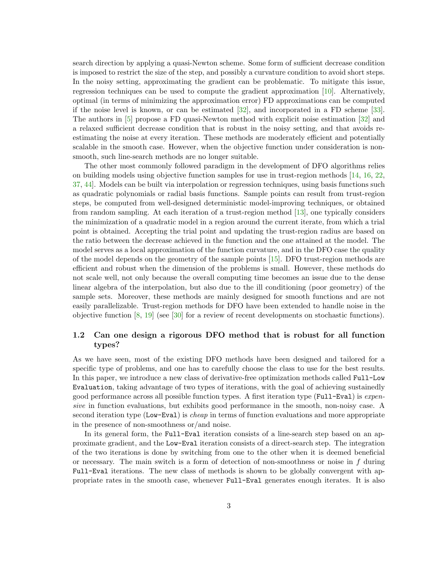search direction by applying a quasi-Newton scheme. Some form of sufficient decrease condition is imposed to restrict the size of the step, and possibly a curvature condition to avoid short steps. In the noisy setting, approximating the gradient can be problematic. To mitigate this issue, regression techniques can be used to compute the gradient approximation [10]. Alternatively, optimal (in terms of minimizing the approximation error) FD approximations can be computed if the noise level is known, or can be estimated [32], and incorporated in a FD scheme [33]. The authors in [5] propose a FD quasi-Newton method with explicit noise estimation [32] and a relaxed sufficient decrease condition that is robust in the noisy setting, and that avoids reestimating the noise at every iteration. These methods are moderately efficient and potentially scalable in the smooth case. However, when the objective function under consideration is nonsmooth, such line-search methods are no longer suitable.

The other most commonly followed paradigm in the development of DFO algorithms relies on building models using objective function samples for use in trust-region methods [14, 16, 22, 37, 44]. Models can be built via interpolation or regression techniques, using basis functions such as quadratic polynomials or radial basis functions. Sample points can result from trust-region steps, be computed from well-designed deterministic model-improving techniques, or obtained from random sampling. At each iteration of a trust-region method [13], one typically considers the minimization of a quadratic model in a region around the current iterate, from which a trial point is obtained. Accepting the trial point and updating the trust-region radius are based on the ratio between the decrease achieved in the function and the one attained at the model. The model serves as a local approximation of the function curvature, and in the DFO case the quality of the model depends on the geometry of the sample points [15]. DFO trust-region methods are efficient and robust when the dimension of the problems is small. However, these methods do not scale well, not only because the overall computing time becomes an issue due to the dense linear algebra of the interpolation, but also due to the ill conditioning (poor geometry) of the sample sets. Moreover, these methods are mainly designed for smooth functions and are not easily parallelizable. Trust-region methods for DFO have been extended to handle noise in the objective function [8, 19] (see [30] for a review of recent developments on stochastic functions).

## 1.2 Can one design a rigorous DFO method that is robust for all function types?

As we have seen, most of the existing DFO methods have been designed and tailored for a specific type of problems, and one has to carefully choose the class to use for the best results. In this paper, we introduce a new class of derivative-free optimization methods called Full-Low Evaluation, taking advantage of two types of iterations, with the goal of achieving sustainedly good performance across all possible function types. A first iteration type (Full-Eval) is expensive in function evaluations, but exhibits good performance in the smooth, non-noisy case. A second iteration type (Low-Eval) is *cheap* in terms of function evaluations and more appropriate in the presence of non-smoothness or/and noise.

In its general form, the Full-Eval iteration consists of a line-search step based on an approximate gradient, and the Low-Eval iteration consists of a direct-search step. The integration of the two iterations is done by switching from one to the other when it is deemed beneficial or necessary. The main switch is a form of detection of non-smoothness or noise in  $f$  during Full-Eval iterations. The new class of methods is shown to be globally convergent with appropriate rates in the smooth case, whenever Full-Eval generates enough iterates. It is also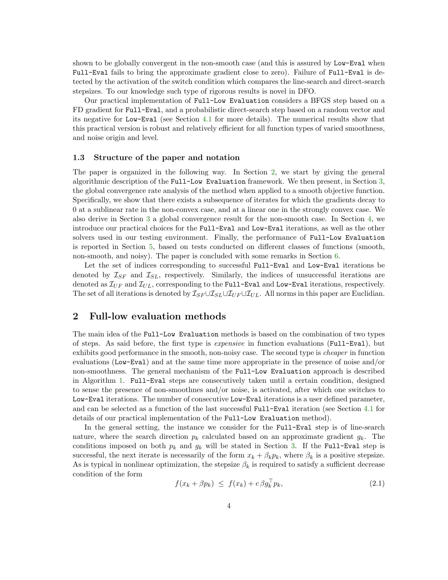shown to be globally convergent in the non-smooth case (and this is assured by Low-Eval when Full-Eval fails to bring the approximate gradient close to zero). Failure of Full-Eval is detected by the activation of the switch condition which compares the line-search and direct-search stepsizes. To our knowledge such type of rigorous results is novel in DFO.

Our practical implementation of Full-Low Evaluation considers a BFGS step based on a FD gradient for Full-Eval, and a probabilistic direct-search step based on a random vector and its negative for Low-Eval (see Section 4.1 for more details). The numerical results show that this practical version is robust and relatively efficient for all function types of varied smoothness, and noise origin and level.

#### 1.3 Structure of the paper and notation

The paper is organized in the following way. In Section 2, we start by giving the general algorithmic description of the Full-Low Evaluation framework. We then present, in Section 3, the global convergence rate analysis of the method when applied to a smooth objective function. Specifically, we show that there exists a subsequence of iterates for which the gradients decay to 0 at a sublinear rate in the non-convex case, and at a linear one in the strongly convex case. We also derive in Section 3 a global convergence result for the non-smooth case. In Section 4, we introduce our practical choices for the Full-Eval and Low-Eval iterations, as well as the other solvers used in our testing environment. Finally, the performance of Full-Low Evaluation is reported in Section 5, based on tests conducted on different classes of functions (smooth, non-smooth, and noisy). The paper is concluded with some remarks in Section 6.

Let the set of indices corresponding to successful Full-Eval and Low-Eval iterations be denoted by  $\mathcal{I}_{SF}$  and  $\mathcal{I}_{SL}$ , respectively. Similarly, the indices of unsuccessful iterations are denoted as  $\mathcal{I}_{UF}$  and  $\mathcal{I}_{UL}$ , corresponding to the Full-Eval and Low-Eval iterations, respectively. The set of all iterations is denoted by  $\mathcal{I}_{SF} \cup \mathcal{I}_{SL} \cup \mathcal{I}_{UL}$ . All norms in this paper are Euclidian.

# 2 Full-low evaluation methods

The main idea of the Full-Low Evaluation methods is based on the combination of two types of steps. As said before, the first type is expensive in function evaluations (Full-Eval), but exhibits good performance in the smooth, non-noisy case. The second type is cheaper in function evaluations (Low-Eval) and at the same time more appropriate in the presence of noise and/or non-smoothness. The general mechanism of the Full-Low Evaluation approach is described in Algorithm 1. Full-Eval steps are consecutively taken until a certain condition, designed to sense the presence of non-smoothnes and/or noise, is activated, after which one switches to Low-Eval iterations. The number of consecutive Low-Eval iterations is a user defined parameter, and can be selected as a function of the last successful Full-Eval iteration (see Section 4.1 for details of our practical implementation of the Full-Low Evaluation method).

In the general setting, the instance we consider for the Full-Eval step is of line-search nature, where the search direction  $p_k$  calculated based on an approximate gradient  $g_k$ . The conditions imposed on both  $p_k$  and  $g_k$  will be stated in Section 3. If the Full-Eval step is successful, the next iterate is necessarily of the form  $x_k + \beta_k p_k$ , where  $\beta_k$  is a positive stepsize. As is typical in nonlinear optimization, the stepsize  $\beta_k$  is required to satisfy a sufficient decrease condition of the form

$$
f(x_k + \beta p_k) \leq f(x_k) + c \beta g_k^{\dagger} p_k, \tag{2.1}
$$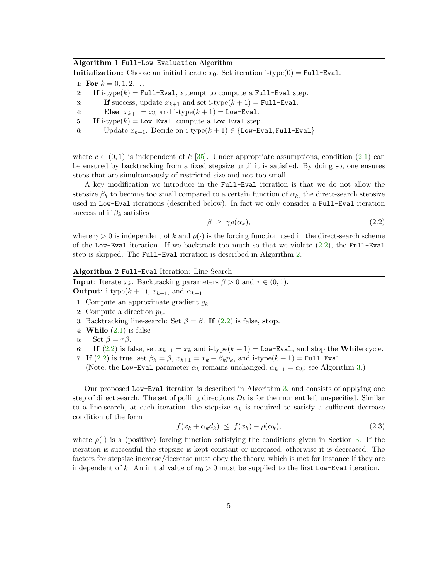#### Algorithm 1 Full-Low Evaluation Algorithm

**Initialization:** Choose an initial iterate  $x_0$ . Set iteration i-type(0) = Full-Eval.

1: For  $k = 0, 1, 2, \ldots$ 

2: If i-type $(k)$  = Full-Eval, attempt to compute a Full-Eval step.

- 3: If success, update  $x_{k+1}$  and set i-type $(k+1)$  = Full-Eval.
- 4: Else,  $x_{k+1} = x_k$  and i-type $(k+1) =$  Low-Eval.
- 5: If i-type(k) = Low-Eval, compute a Low-Eval step.
- 6: Update  $x_{k+1}$ . Decide on i-type $(k+1) \in \{\texttt{Low-Eval}, \texttt{Full-Eval}\}.$

where  $c \in (0,1)$  is independent of k [35]. Under appropriate assumptions, condition (2.1) can be ensured by backtracking from a fixed stepsize until it is satisfied. By doing so, one ensures steps that are simultaneously of restricted size and not too small.

A key modification we introduce in the Full-Eval iteration is that we do not allow the stepsize  $\beta_k$  to become too small compared to a certain function of  $\alpha_k$ , the direct-search stepsize used in Low-Eval iterations (described below). In fact we only consider a Full-Eval iteration successful if  $\beta_k$  satisfies

$$
\beta \ge \gamma \rho(\alpha_k), \tag{2.2}
$$

where  $\gamma > 0$  is independent of k and  $\rho(\cdot)$  is the forcing function used in the direct-search scheme of the Low-Eval iteration. If we backtrack too much so that we violate  $(2.2)$ , the Full-Eval step is skipped. The Full-Eval iteration is described in Algorithm 2.

| Algorithm 2 Full-Eval Iteration: Line Search |  |                                                                                          |  |  |  |  |  |  |
|----------------------------------------------|--|------------------------------------------------------------------------------------------|--|--|--|--|--|--|
|                                              |  | <b>Input:</b> Iterate $x_k$ . Backtracking parameters $\beta > 0$ and $\tau \in (0,1)$ . |  |  |  |  |  |  |

**Output:** i-type $(k+1)$ ,  $x_{k+1}$ , and  $\alpha_{k+1}$ .

- 1: Compute an approximate gradient  $g_k$ .
- 2: Compute a direction  $p_k$ .
- 3: Backtracking line-search: Set  $\beta = \overline{\beta}$ . If (2.2) is false, stop.
- 4: **While**  $(2.1)$  is false
- 5: Set  $\beta = \tau \beta$ .
- 6: If  $(2.2)$  is false, set  $x_{k+1} = x_k$  and i-type $(k+1) =$ Low-Eval, and stop the While cycle.
- 7: If  $(2.2)$  is true, set  $\beta_k = \beta$ ,  $x_{k+1} = x_k + \beta_k p_k$ , and i-type $(k+1) =$  Full-Eval.
- (Note, the Low-Eval parameter  $\alpha_k$  remains unchanged,  $\alpha_{k+1} = \alpha_k$ ; see Algorithm 3.)

Our proposed Low-Eval iteration is described in Algorithm 3, and consists of applying one step of direct search. The set of polling directions  $D_k$  is for the moment left unspecified. Similar to a line-search, at each iteration, the stepsize  $\alpha_k$  is required to satisfy a sufficient decrease condition of the form

$$
f(x_k + \alpha_k d_k) \leq f(x_k) - \rho(\alpha_k), \tag{2.3}
$$

where  $\rho(\cdot)$  is a (positive) forcing function satisfying the conditions given in Section 3. If the iteration is successful the stepsize is kept constant or increased, otherwise it is decreased. The factors for stepsize increase/decrease must obey the theory, which is met for instance if they are independent of k. An initial value of  $\alpha_0 > 0$  must be supplied to the first Low-Eval iteration.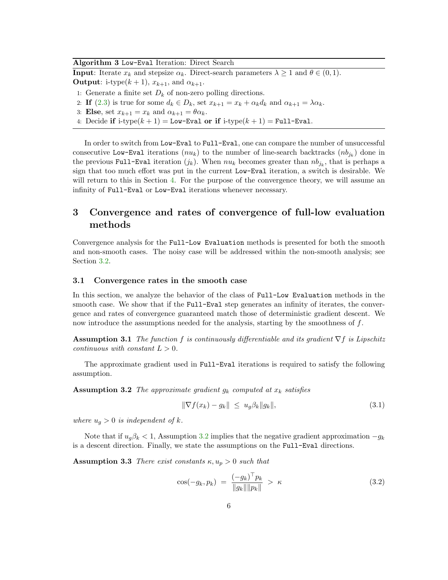| Algorithm 3 Low-Eval Iteration: Direct Search                                                                            |
|--------------------------------------------------------------------------------------------------------------------------|
| <b>Input:</b> Iterate $x_k$ and stepsize $\alpha_k$ . Direct-search parameters $\lambda \geq 1$ and $\theta \in (0,1)$ . |
| <b>Output:</b> i-type $(k+1)$ , $x_{k+1}$ , and $\alpha_{k+1}$ .                                                         |
| 1: Generate a finite set $D_k$ of non-zero polling directions.                                                           |
| 2: If (2.3) is true for some $d_k \in D_k$ , set $x_{k+1} = x_k + \alpha_k d_k$ and $\alpha_{k+1} = \lambda \alpha_k$ .  |
| 3: Else, set $x_{k+1} = x_k$ and $\alpha_{k+1} = \theta \alpha_k$ .                                                      |

4: Decide if i-type $(k + 1)$  = Low-Eval or if i-type $(k + 1)$  = Full-Eval.

In order to switch from Low-Eval to Full-Eval, one can compare the number of unsuccessful consecutive Low-Eval iterations  $(nu_k)$  to the number of line-search backtracks  $(n b_{j_k})$  done in the previous Full-Eval iteration  $(j_k)$ . When  $nu_k$  becomes greater than  $nb_{j_k}$ , that is perhaps a sign that too much effort was put in the current Low-Eval iteration, a switch is desirable. We will return to this in Section 4. For the purpose of the convergence theory, we will assume an infinity of Full-Eval or Low-Eval iterations whenever necessary.

# 3 Convergence and rates of convergence of full-low evaluation methods

Convergence analysis for the Full-Low Evaluation methods is presented for both the smooth and non-smooth cases. The noisy case will be addressed within the non-smooth analysis; see Section 3.2.

#### 3.1 Convergence rates in the smooth case

In this section, we analyze the behavior of the class of Full-Low Evaluation methods in the smooth case. We show that if the Full-Eval step generates an infinity of iterates, the convergence and rates of convergence guaranteed match those of deterministic gradient descent. We now introduce the assumptions needed for the analysis, starting by the smoothness of  $f$ .

**Assumption 3.1** The function f is continuously differentiable and its gradient  $\nabla f$  is Lipschitz continuous with constant  $L > 0$ .

The approximate gradient used in Full-Eval iterations is required to satisfy the following assumption.

**Assumption 3.2** The approximate gradient  $g_k$  computed at  $x_k$  satisfies

$$
\|\nabla f(x_k) - g_k\| \leq u_g \beta_k \|g_k\|,\tag{3.1}
$$

where  $u_g > 0$  is independent of k.

Note that if  $u_g \beta_k < 1$ , Assumption 3.2 implies that the negative gradient approximation  $-g_k$ is a descent direction. Finally, we state the assumptions on the Full-Eval directions.

**Assumption 3.3** There exist constants  $\kappa, u_p > 0$  such that

$$
\cos(-g_k, p_k) = \frac{(-g_k)^\top p_k}{\|g_k\| \|p_k\|} > \kappa \tag{3.2}
$$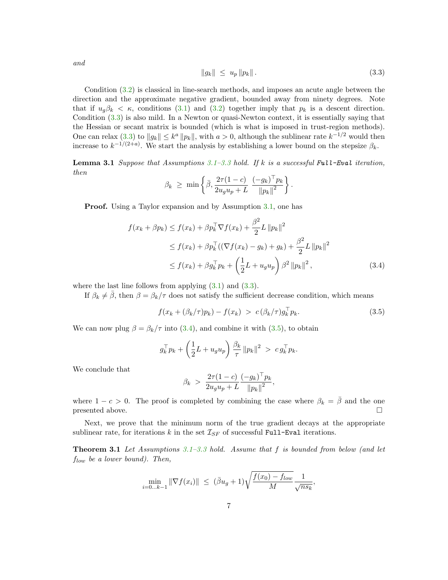$$
and
$$

$$
||g_k|| \leq u_p ||p_k||. \tag{3.3}
$$

Condition (3.2) is classical in line-search methods, and imposes an acute angle between the direction and the approximate negative gradient, bounded away from ninety degrees. Note that if  $u_q\beta_k < \kappa$ , conditions (3.1) and (3.2) together imply that  $p_k$  is a descent direction. Condition (3.3) is also mild. In a Newton or quasi-Newton context, it is essentially saying that the Hessian or secant matrix is bounded (which is what is imposed in trust-region methods). One can relax  $(3.3)$  to  $||g_k|| \leq k^a ||p_k||$ , with  $a > 0$ , although the sublinear rate  $k^{-1/2}$  would then increase to  $k^{-1/(2+a)}$ . We start the analysis by establishing a lower bound on the stepsize  $\beta_k$ .

**Lemma 3.1** Suppose that Assumptions 3.1–3.3 hold. If k is a successful Full-Eval iteration, then

$$
\beta_k \geq \min \left\{ \bar{\beta}, \frac{2\tau (1-c)}{2u_g u_p + L} \frac{(-g_k)^\top p_k}{\|p_k\|^2} \right\}.
$$

Proof. Using a Taylor expansion and by Assumption 3.1, one has

$$
f(x_k + \beta p_k) \le f(x_k) + \beta p_k^{\top} \nabla f(x_k) + \frac{\beta^2}{2} L ||p_k||^2
$$
  
\n
$$
\le f(x_k) + \beta p_k^{\top} ((\nabla f(x_k) - g_k) + g_k) + \frac{\beta^2}{2} L ||p_k||^2
$$
  
\n
$$
\le f(x_k) + \beta g_k^{\top} p_k + \left(\frac{1}{2} L + u_g u_p\right) \beta^2 ||p_k||^2,
$$
\n(3.4)

where the last line follows from applying  $(3.1)$  and  $(3.3)$ .

If  $\beta_k \neq \overline{\beta}$ , then  $\beta = \beta_k/\tau$  does not satisfy the sufficient decrease condition, which means

$$
f(x_k + (\beta_k/\tau)p_k) - f(x_k) > c(\beta_k/\tau)g_k^{\top}p_k.
$$
\n(3.5)

We can now plug  $\beta = \beta_k/\tau$  into (3.4), and combine it with (3.5), to obtain

$$
g_k^{\top} p_k + \left(\frac{1}{2}L + u_g u_p\right) \frac{\beta_k}{\tau} ||p_k||^2 > c g_k^{\top} p_k.
$$

We conclude that

$$
\beta_k > \frac{2\tau(1-c)}{2u_g u_p + L} \frac{(-g_k)^{\top} p_k}{\|p_k\|^2},
$$

where  $1 - c > 0$ . The proof is completed by combining the case where  $\beta_k = \overline{\beta}$  and the one presented above. presented above.

Next, we prove that the minimum norm of the true gradient decays at the appropriate sublinear rate, for iterations k in the set  $\mathcal{I}_{SF}$  of successful Full-Eval iterations.

**Theorem 3.1** Let Assumptions  $3.1-3.3$  hold. Assume that f is bounded from below (and let  $f_{low}$  be a lower bound). Then,

$$
\min_{i=0...k-1} \|\nabla f(x_i)\| \ \leq \ (\bar{\beta}u_g + 1)\sqrt{\frac{f(x_0) - f_{low}}{M}} \frac{1}{\sqrt{n s_k}},
$$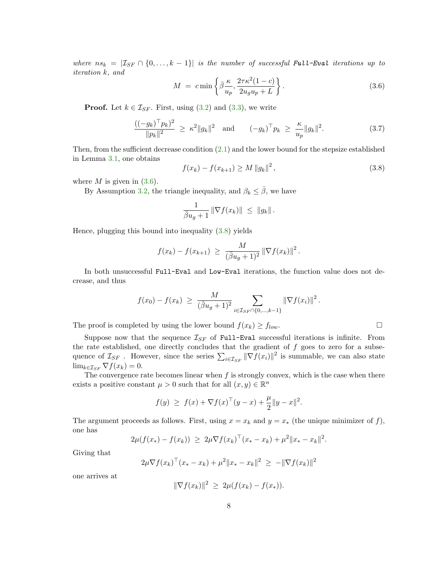where  $ns_k = |\mathcal{I}_{SF} \cap \{0, ..., k-1\}|$  is the number of successful Full-Eval iterations up to iteration k, and

$$
M = c \min \left\{ \bar{\beta} \frac{\kappa}{u_p}, \frac{2\tau \kappa^2 (1 - c)}{2u_g u_p + L} \right\}.
$$
 (3.6)

**Proof.** Let  $k \in \mathcal{I}_{SF}$ . First, using  $(3.2)$  and  $(3.3)$ , we write

$$
\frac{((-g_k)^{\top} p_k)^2}{\|p_k\|^2} \ge \kappa^2 \|g_k\|^2 \quad \text{and} \quad (-g_k)^{\top} p_k \ge \frac{\kappa}{u_p} \|g_k\|^2. \tag{3.7}
$$

Then, from the sufficient decrease condition (2.1) and the lower bound for the stepsize established in Lemma 3.1, one obtains

$$
f(x_k) - f(x_{k+1}) \ge M \|g_k\|^2,
$$
\n(3.8)

where  $M$  is given in  $(3.6)$ .

By Assumption 3.2, the triangle inequality, and  $\beta_k \leq \overline{\beta}$ , we have

$$
\frac{1}{\overline{\beta}u_g+1} \|\nabla f(x_k)\| \leq \|g_k\|.
$$

Hence, plugging this bound into inequality (3.8) yields

$$
f(x_k) - f(x_{k+1}) \ge \frac{M}{(\bar{\beta}u_g + 1)^2} \|\nabla f(x_k)\|^2.
$$

In both unsuccessful Full-Eval and Low-Eval iterations, the function value does not decrease, and thus

$$
f(x_0) - f(x_k) \ge \frac{M}{(\bar{\beta}u_g + 1)^2} \sum_{i \in \mathcal{I}_{SF} \cap \{0, ..., k-1\}} ||\nabla f(x_i)||^2.
$$

The proof is completed by using the lower bound  $f(x_k) \ge f_{low}$ .

Suppose now that the sequence  $\mathcal{I}_{SF}$  of Full-Eval successful iterations is infinite. From the rate established, one directly concludes that the gradient of  $f$  goes to zero for a subsequence of  $\mathcal{I}_{SF}$ . However, since the series  $\sum_{i \in \mathcal{I}_{SF}} ||\nabla \overline{f}(x_i)||^2$  is summable, we can also state  $\lim_{k \in \mathcal{I}_{SF}} \nabla f(x_k) = 0.$ 

The convergence rate becomes linear when  $f$  is strongly convex, which is the case when there exists a positive constant  $\mu > 0$  such that for all  $(x, y) \in \mathbb{R}^n$ 

$$
f(y) \ge f(x) + \nabla f(x)^\top (y - x) + \frac{\mu}{2} \|y - x\|^2.
$$

The argument proceeds as follows. First, using  $x = x_k$  and  $y = x_*$  (the unique minimizer of f), one has

$$
2\mu(f(x_{*}) - f(x_{k})) \geq 2\mu \nabla f(x_{k})^{\top}(x_{*} - x_{k}) + \mu^{2} \|x_{*} - x_{k}\|^{2}.
$$

Giving that

$$
2\mu \nabla f(x_k)^\top (x_* - x_k) + \mu^2 \|x_* - x_k\|^2 \ge -\|\nabla f(x_k)\|^2
$$

one arrives at

$$
\|\nabla f(x_k)\|^2 \, \geq \, 2\mu(f(x_k) - f(x_*)).
$$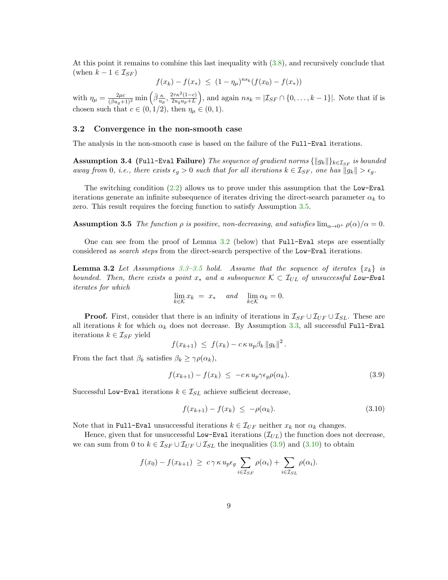At this point it remains to combine this last inequality with (3.8), and recursively conclude that (when  $k - 1 \in \mathcal{I}_{SF}$ )

$$
f(x_k) - f(x_*) \le (1 - \eta_\mu)^{ns_k} (f(x_0) - f(x_*))
$$

with  $\eta_{\mu} = \frac{2\mu c}{(\bar{\beta}u_g+1)^2} \min\left(\bar{\beta}\frac{\kappa}{u_p}, \frac{2\tau\kappa^2(1-c)}{2u_gu_p+L}\right)$ ), and again  $ns_k = |\mathcal{I}_{SF} \cap \{0, \ldots, k-1\}|$ . Note that if is chosen such that  $c \in (0, 1/2)$ , then  $\eta_{\mu} \in (0, 1)$ .

#### 3.2 Convergence in the non-smooth case

The analysis in the non-smooth case is based on the failure of the Full-Eval iterations.

Assumption 3.4 (Full-Eval Failure) The sequence of gradient norms  $\{\|g_k\|\}_{k\in\mathcal{I}_{SF}}$  is bounded away from 0, i.e., there exists  $\epsilon_g > 0$  such that for all iterations  $k \in \mathcal{I}_{SF}$ , one has  $||g_k|| > \epsilon_g$ .

The switching condition  $(2.2)$  allows us to prove under this assumption that the Low-Eval iterations generate an infinite subsequence of iterates driving the direct-search parameter  $\alpha_k$  to zero. This result requires the forcing function to satisfy Assumption 3.5.

**Assumption 3.5** The function  $\rho$  is positive, non-decreasing, and satisfies  $\lim_{\alpha\to 0^+} \rho(\alpha)/\alpha = 0$ .

One can see from the proof of Lemma 3.2 (below) that Full-Eval steps are essentially considered as search steps from the direct-search perspective of the Low-Eval iterations.

**Lemma 3.2** Let Assumptions 3.3-3.5 hold. Assume that the sequence of iterates  $\{x_k\}$  is bounded. Then, there exists a point  $x_*$  and a subsequence  $K \subset \mathcal{I}_{UL}$  of unsuccessful Low-Eval iterates for which

$$
\lim_{k \in \mathcal{K}} x_k = x_* \quad \text{and} \quad \lim_{k \in \mathcal{K}} \alpha_k = 0.
$$

**Proof.** First, consider that there is an infinity of iterations in  $\mathcal{I}_{SF} \cup \mathcal{I}_{UL} \cup \mathcal{I}_{SL}$ . These are all iterations k for which  $\alpha_k$  does not decrease. By Assumption 3.3, all successful Full-Eval iterations  $k \in \mathcal{I}_{SF}$  yield

$$
f(x_{k+1}) \leq f(x_k) - c \kappa u_p \beta_k ||g_k||^2.
$$

From the fact that  $\beta_k$  satisfies  $\beta_k \geq \gamma \rho(\alpha_k)$ ,

$$
f(x_{k+1}) - f(x_k) \leq -c \kappa u_p \gamma \epsilon_g \rho(\alpha_k). \tag{3.9}
$$

Successful Low-Eval iterations  $k \in \mathcal{I}_{SL}$  achieve sufficient decrease,

$$
f(x_{k+1}) - f(x_k) \le -\rho(\alpha_k). \tag{3.10}
$$

Note that in Full-Eval unsuccessful iterations  $k \in \mathcal{I}_{UF}$  neither  $x_k$  nor  $\alpha_k$  changes.

Hence, given that for unsuccessful Low-Eval iterations  $(\mathcal{I}_{UL})$  the function does not decrease, we can sum from 0 to  $k \in \mathcal{I}_{SF} \cup \mathcal{I}_{UF} \cup \mathcal{I}_{SL}$  the inequalities (3.9) and (3.10) to obtain

$$
f(x_0) - f(x_{k+1}) \ge c \gamma \kappa u_p \epsilon_g \sum_{i \in \mathcal{I}_{SF}} \rho(\alpha_i) + \sum_{i \in \mathcal{I}_{SL}} \rho(\alpha_i).
$$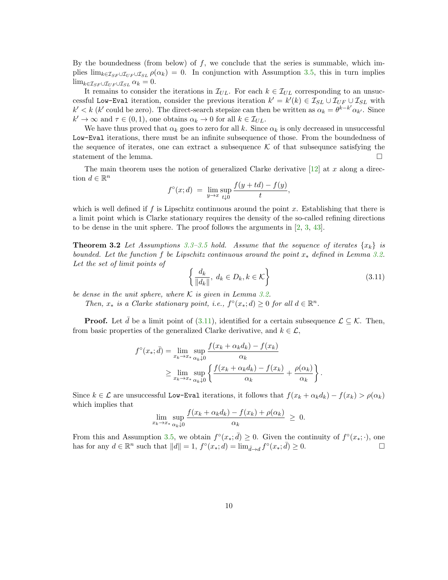By the boundedness (from below) of  $f$ , we conclude that the series is summable, which implies  $\lim_{k \in \mathcal{I}_{SF} \cup \mathcal{I}_{UE}} \rho(\alpha_k) = 0$ . In conjunction with Assumption 3.5, this in turn implies  $\lim_{k \in \mathcal{I}_{SF} \cup \mathcal{I}_{UF} \cup \mathcal{I}_{SL}} \alpha_k = 0.$ 

It remains to consider the iterations in  $\mathcal{I}_{UL}$ . For each  $k \in \mathcal{I}_{UL}$  corresponding to an unsuccessful Low-Eval iteration, consider the previous iteration  $k' = k'(k) \in \mathcal{I}_{SL} \cup \mathcal{I}_{UF} \cup \mathcal{I}_{SL}$  with  $k' < k$  (k' could be zero). The direct-search stepsize can then be written as  $\alpha_k = \theta^{k-k'} \alpha_{k'}$ . Since  $k' \to \infty$  and  $\tau \in (0, 1)$ , one obtains  $\alpha_k \to 0$  for all  $k \in \mathcal{I}_{UL}$ .

We have thus proved that  $\alpha_k$  goes to zero for all k. Since  $\alpha_k$  is only decreased in unsuccessful Low-Eval iterations, there must be an infinite subsequence of those. From the boundedness of the sequence of iterates, one can extract a subsequence  $K$  of that subsequence satisfying the statement of the lemma. statement of the lemma.

The main theorem uses the notion of generalized Clarke derivative  $[12]$  at x along a direction  $d \in \mathbb{R}^n$ 

$$
f^{\circ}(x; d) = \lim_{y \to x} \sup_{t \downarrow 0} \frac{f(y + td) - f(y)}{t},
$$

which is well defined if  $f$  is Lipschitz continuous around the point  $x$ . Establishing that there is a limit point which is Clarke stationary requires the density of the so-called refining directions to be dense in the unit sphere. The proof follows the arguments in  $(2, 3, 43)$ .

**Theorem 3.2** Let Assumptions 3.3–3.5 hold. Assume that the sequence of iterates  $\{x_k\}$  is bounded. Let the function f be Lipschitz continuous around the point  $x_*$  defined in Lemma 3.2. Let the set of limit points of

$$
\left\{\frac{d_k}{\|d_k\|},\ d_k \in D_k, k \in \mathcal{K}\right\} \tag{3.11}
$$

be dense in the unit sphere, where  $K$  is given in Lemma 3.2.

Then,  $x_*$  is a Clarke stationary point, i.e.,  $f^{\circ}(x_*; d) \geq 0$  for all  $d \in \mathbb{R}^n$ .

**Proof.** Let d be a limit point of (3.11), identified for a certain subsequence  $\mathcal{L} \subseteq \mathcal{K}$ . Then, from basic properties of the generalized Clarke derivative, and  $k \in \mathcal{L}$ ,

$$
f^{\circ}(x_{*};\bar{d}) = \lim_{x_{k} \to x_{*}} \sup_{\alpha_{k}\downarrow 0} \frac{f(x_{k} + \alpha_{k}d_{k}) - f(x_{k})}{\alpha_{k}}
$$
  

$$
\geq \lim_{x_{k} \to x_{*}} \sup_{\alpha_{k}\downarrow 0} \left\{ \frac{f(x_{k} + \alpha_{k}d_{k}) - f(x_{k})}{\alpha_{k}} + \frac{\rho(\alpha_{k})}{\alpha_{k}} \right\}.
$$

Since  $k \in \mathcal{L}$  are unsuccessful Low-Eval iterations, it follows that  $f(x_k + \alpha_k d_k) - f(x_k) > \rho(\alpha_k)$ which implies that

$$
\lim_{x_k \to x_*} \sup_{\alpha_k \downarrow 0} \frac{f(x_k + \alpha_k d_k) - f(x_k) + \rho(\alpha_k)}{\alpha_k} \geq 0.
$$

From this and Assumption 3.5, we obtain  $f^{\circ}(x_*, \bar{d}) \geq 0$ . Given the continuity of  $f^{\circ}(x_*, \cdot)$ , one has for any  $d \in \mathbb{R}^n$  such that  $||d|| = 1$ ,  $f^{\circ}(x_*, d) = \lim_{\bar{d} \to d} f^{\circ}(x_*, \bar{d}) \ge 0$ .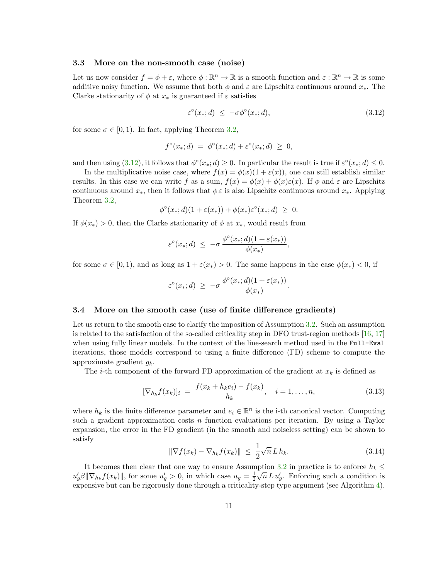#### 3.3 More on the non-smooth case (noise)

Let us now consider  $f = \phi + \varepsilon$ , where  $\phi : \mathbb{R}^n \to \mathbb{R}$  is a smooth function and  $\varepsilon : \mathbb{R}^n \to \mathbb{R}$  is some additive noisy function. We assume that both  $\phi$  and  $\varepsilon$  are Lipschitz continuous around  $x_*$ . The Clarke stationarity of  $\phi$  at  $x_*$  is guaranteed if  $\varepsilon$  satisfies

$$
\varepsilon^{\circ}(x_{*};d) \le -\sigma \phi^{\circ}(x_{*};d), \tag{3.12}
$$

for some  $\sigma \in [0, 1)$ . In fact, applying Theorem 3.2,

$$
f^{\circ}(x_{*};d) = \phi^{\circ}(x_{*};d) + \varepsilon^{\circ}(x_{*};d) \geq 0,
$$

and then using  $(3.12)$ , it follows that  $\phi^{\circ}(x_*,d) \ge 0$ . In particular the result is true if  $\varepsilon^{\circ}(x_*,d) \le 0$ .

In the multiplicative noise case, where  $f(x) = \phi(x)(1 + \varepsilon(x))$ , one can still establish similar results. In this case we can write f as a sum,  $f(x) = \phi(x) + \phi(x)\varepsilon(x)$ . If  $\phi$  and  $\varepsilon$  are Lipschitz continuous around  $x_*$ , then it follows that  $\phi \varepsilon$  is also Lipschitz continuous around  $x_*$ . Applying Theorem 3.2,

$$
\phi^{\circ}(x_{*};d)(1+\varepsilon(x_{*}))+\phi(x_{*})\varepsilon^{\circ}(x_{*};d) \geq 0.
$$

If  $\phi(x_*) > 0$ , then the Clarke stationarity of  $\phi$  at  $x_*$ , would result from

$$
\varepsilon^{\circ}(x_{*}; d) \leq -\sigma \, \frac{\phi^{\circ}(x_{*}; d)(1 + \varepsilon(x_{*}))}{\phi(x_{*})},
$$

for some  $\sigma \in [0,1)$ , and as long as  $1 + \varepsilon(x_*) > 0$ . The same happens in the case  $\phi(x_*) < 0$ , if

$$
\varepsilon^{\circ}(x_*,d) \geq -\sigma \, \frac{\phi^{\circ}(x_*,d)(1+\varepsilon(x_*))}{\phi(x_*)}.
$$

## 3.4 More on the smooth case (use of finite difference gradients)

Let us return to the smooth case to clarify the imposition of Assumption 3.2. Such an assumption is related to the satisfaction of the so-called criticality step in DFO trust-region methods [16, 17] when using fully linear models. In the context of the line-search method used in the Full-Eval iterations, those models correspond to using a finite difference (FD) scheme to compute the approximate gradient  $q_k$ .

The *i*-th component of the forward FD approximation of the gradient at  $x_k$  is defined as

$$
[\nabla_{h_k} f(x_k)]_i = \frac{f(x_k + h_k e_i) - f(x_k)}{h_k}, \quad i = 1, ..., n,
$$
\n(3.13)

where  $h_k$  is the finite difference parameter and  $e_i \in \mathbb{R}^n$  is the i-th canonical vector. Computing such a gradient approximation costs n function evaluations per iteration. By using a Taylor expansion, the error in the FD gradient (in the smooth and noiseless setting) can be shown to satisfy

$$
\|\nabla f(x_k) - \nabla_{h_k} f(x_k)\| \le \frac{1}{2} \sqrt{n} L h_k. \tag{3.14}
$$

It becomes then clear that one way to ensure Assumption 3.2 in practice is to enforce  $h_k \leq$  $u'_g \beta \|\nabla_{h_k} f(x_k)\|$ , for some  $u'_g > 0$ , in which case  $u_g = \frac{1}{2} \sqrt{n} L u'_g$ . Enforcing such a condition is expensive but can be rigorously done through a criticality-step type argument (see Algorithm 4).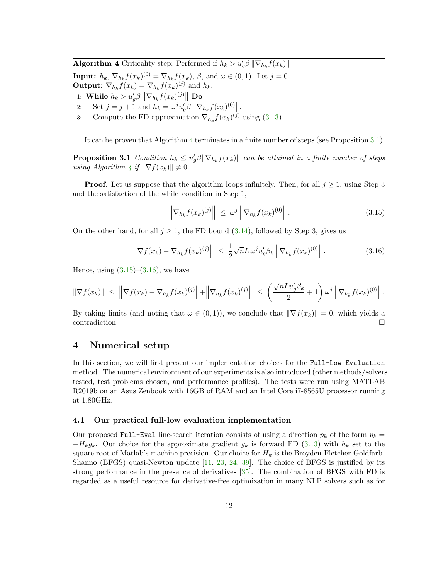**Algorithm 4** Criticality step: Performed if  $h_k > u'_g \beta \|\nabla_{h_k} f(x_k)\|$ 

**Input:**  $h_k$ ,  $\nabla_{h_k} f(x_k)^{(0)} = \nabla_{h_k} f(x_k)$ ,  $\beta$ , and  $\omega \in (0, 1)$ . Let  $j = 0$ . **Output:**  $\nabla_{h_k} f(x_k) = \nabla_{h_k} f(x_k)^{(j)}$  and  $h_k$ . 1: While  $h_k > u'_g \beta \left\| \nabla_{h_k} f(x_k)^{(j)} \right\|$  Do 2: Set  $j = j + 1$  and  $h_k = \omega^j u'_g \beta \|\nabla_{h_k} f(x_k)^{(0)}\|$ .

3: Compute the FD approximation  $\nabla_{h_k} f(x_k)^{(j)}$  using (3.13).

It can be proven that Algorithm 4 terminates in a finite number of steps (see Proposition 3.1).

**Proposition 3.1** Condition  $h_k \leq u'_g \beta \|\nabla_{h_k} f(x_k)\|$  can be attained in a finite number of steps using Algorithm 4 if  $\|\nabla f(x_k)\| \neq 0$ .

**Proof.** Let us suppose that the algorithm loops infinitely. Then, for all  $j \geq 1$ , using Step 3 and the satisfaction of the while–condition in Step 1,

$$
\left\|\nabla_{h_k} f(x_k)^{(j)}\right\| \leq \omega^j \left\|\nabla_{h_k} f(x_k)^{(0)}\right\|.
$$
\n(3.15)

On the other hand, for all  $j \ge 1$ , the FD bound (3.14), followed by Step 3, gives us

$$
\left\|\nabla f(x_k) - \nabla_{h_k} f(x_k)^{(j)}\right\| \leq \frac{1}{2} \sqrt{n} L \omega^j u_g' \beta_k \left\|\nabla_{h_k} f(x_k)^{(0)}\right\|.
$$
 (3.16)

Hence, using  $(3.15)$ – $(3.16)$ , we have

$$
\|\nabla f(x_k)\| \ \leq \ \left\|\nabla f(x_k) - \nabla_{h_k} f(x_k)^{(j)}\right\| + \left\|\nabla_{h_k} f(x_k)^{(j)}\right\| \ \leq \ \left(\frac{\sqrt{n}Lu_g'\beta_k}{2} + 1\right)\omega^j \left\|\nabla_{h_k} f(x_k)^{(0)}\right\|.
$$

By taking limits (and noting that  $\omega \in (0, 1)$ ), we conclude that  $\|\nabla f(x_k)\| = 0$ , which yields a contradiction contradiction.

# 4 Numerical setup

In this section, we will first present our implementation choices for the Full-Low Evaluation method. The numerical environment of our experiments is also introduced (other methods/solvers tested, test problems chosen, and performance profiles). The tests were run using MATLAB R2019b on an Asus Zenbook with 16GB of RAM and an Intel Core i7-8565U processor running at 1.80GHz.

#### 4.1 Our practical full-low evaluation implementation

Our proposed Full-Eval line-search iteration consists of using a direction  $p_k$  of the form  $p_k =$  $-H_kg_k$ . Our choice for the approximate gradient  $g_k$  is forward FD (3.13) with  $h_k$  set to the square root of Matlab's machine precision. Our choice for  $H_k$  is the Broyden-Fletcher-Goldfarb-Shanno (BFGS) quasi-Newton update [11, 23, 24, 39]. The choice of BFGS is justified by its strong performance in the presence of derivatives [35]. The combination of BFGS with FD is regarded as a useful resource for derivative-free optimization in many NLP solvers such as for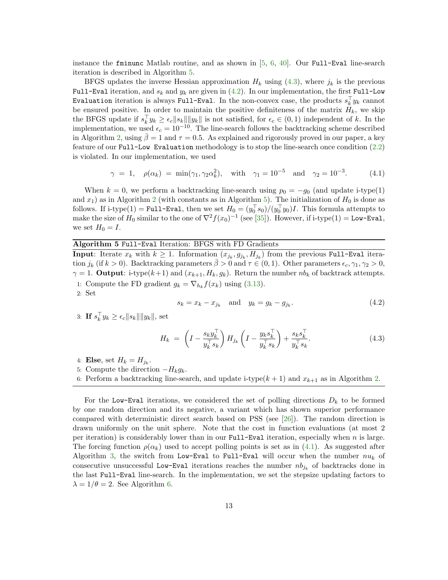instance the fminunc Matlab routine, and as shown in  $[5, 6, 40]$ . Our Full-Eval line-search iteration is described in Algorithm 5.

BFGS updates the inverse Hessian approximation  $H_k$  using (4.3), where  $j_k$  is the previous Full-Eval iteration, and  $s_k$  and  $y_k$  are given in (4.2). In our implementation, the first Full-Low Evaluation iteration is always Full-Eval. In the non-convex case, the products  $s_k^{\dagger} y_k$  cannot be ensured positive. In order to maintain the positive definiteness of the matrix  $H_k$ , we skip the BFGS update if  $s_k^{\perp} y_k \geq \epsilon_c \|s_k\| \|y_k\|$  is not satisfied, for  $\epsilon_c \in (0,1)$  independent of k. In the implementation, we used  $\epsilon_c = 10^{-10}$ . The line-search follows the backtracking scheme described in Algorithm 2, using  $\bar{\beta} = 1$  and  $\tau = 0.5$ . As explained and rigorously proved in our paper, a key feature of our Full-Low Evaluation methodology is to stop the line-search once condition (2.2) is violated. In our implementation, we used

$$
\gamma = 1, \quad \rho(\alpha_k) = \min(\gamma_1, \gamma_2 \alpha_k^2), \quad \text{with} \quad \gamma_1 = 10^{-5} \quad \text{and} \quad \gamma_2 = 10^{-3}.
$$
 (4.1)

When  $k = 0$ , we perform a backtracking line-search using  $p_0 = -g_0$  (and update i-type(1) and  $x_1$ ) as in Algorithm 2 (with constants as in Algorithm 5). The initialization of  $H_0$  is done as follows. If i-type(1) = Full-Eval, then we set  $H_0 = (y_0^+ s_0)/(y_0^+ y_0)I$ . This formula attempts to make the size of  $H_0$  similar to the one of  $\nabla^2 f(x_0)^{-1}$  (see [35]). However, if i-type(1) = Low-Eval, we set  $H_0 = I$ .

Algorithm 5 Full-Eval Iteration: BFGS with FD Gradients

**Input:** Iterate  $x_k$  with  $k \geq 1$ . Information  $(x_{j_k}, g_{j_k}, H_{j_k})$  from the previous Full-Eval iteration j<sub>k</sub> (if  $k > 0$ ). Backtracking parameters  $\bar{\beta} > 0$  and  $\tau \in (0, 1)$ . Other parameters  $\epsilon_c, \gamma_1, \gamma_2 > 0$ ,  $\gamma = 1$ . **Output:** i-type(k+1) and ( $x_{k+1}$ ,  $H_k$ ,  $g_k$ ). Return the number  $nb_k$  of backtrack attempts. 1: Compute the FD gradient  $g_k = \nabla_{h_k} f(x_k)$  using (3.13).

2: Set

$$
s_k = x_k - x_{j_k} \quad \text{and} \quad y_k = g_k - g_{j_k}.\tag{4.2}
$$

3: If  $s_k^{\top} y_k \ge \epsilon_c \|s_k\| \|y_k\|$ , set

$$
H_k = \left(I - \frac{s_k y_k^\top}{y_k^\top s_k}\right) H_{j_k} \left(I - \frac{y_k s_k^\top}{y_k^\top s_k}\right) + \frac{s_k s_k^\top}{y_k^\top s_k}.\tag{4.3}
$$

4: Else, set  $H_k = H_{j_k}$ .

5: Compute the direction 
$$
-H_k g_k
$$
.

6: Perform a backtracking line-search, and update i-type( $k + 1$ ) and  $x_{k+1}$  as in Algorithm 2.

For the Low-Eval iterations, we considered the set of polling directions  $D_k$  to be formed by one random direction and its negative, a variant which has shown superior performance compared with deterministic direct search based on PSS (see [26]). The random direction is drawn uniformly on the unit sphere. Note that the cost in function evaluations (at most 2 per iteration) is considerably lower than in our Full-Eval iteration, especially when n is large. The forcing function  $\rho(\alpha_k)$  used to accept polling points is set as in (4.1). As suggested after Algorithm 3, the switch from Low-Eval to Full-Eval will occur when the number  $nu_k$  of consecutive unsuccessful Low-Eval iterations reaches the number  $nb_{jk}$  of backtracks done in the last Full-Eval line-search. In the implementation, we set the stepsize updating factors to  $\lambda = 1/\theta = 2$ . See Algorithm 6.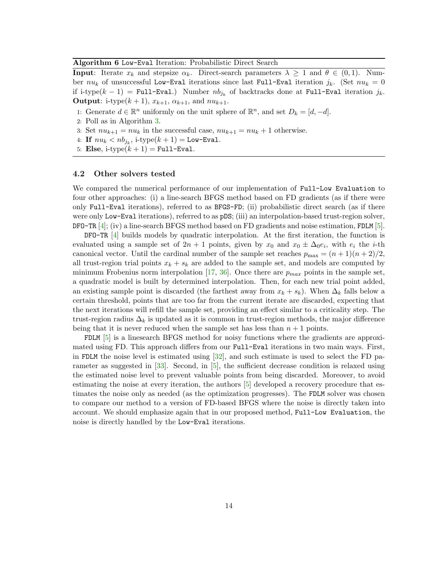#### Algorithm 6 Low-Eval Iteration: Probabilistic Direct Search

**Input:** Iterate  $x_k$  and stepsize  $\alpha_k$ . Direct-search parameters  $\lambda \geq 1$  and  $\theta \in (0,1)$ . Number  $nu_k$  of unsuccessful Low-Eval iterations since last Full-Eval iteration  $j_k$ . (Set  $nu_k = 0$ if i-type $(k-1)$  = Full-Eval.) Number  $nb_{j_k}$  of backtracks done at Full-Eval iteration  $j_k$ . **Output:** i-type $(k + 1)$ ,  $x_{k+1}$ ,  $\alpha_{k+1}$ , and  $nu_{k+1}$ .

- 1: Generate  $d \in \mathbb{R}^n$  uniformly on the unit sphere of  $\mathbb{R}^n$ , and set  $D_k = [d, -d]$ .
- 2: Poll as in Algorithm 3.
- 3: Set  $nu_{k+1} = nu_k$  in the successful case,  $nu_{k+1} = nu_k + 1$  otherwise.
- 4: If  $nu_k < nb_{j_k}$ , i-type $(k+1) =$  Low-Eval.
- 5: Else, i-type $(k + 1)$  = Full-Eval.

#### 4.2 Other solvers tested

We compared the numerical performance of our implementation of Full-Low Evaluation to four other approaches: (i) a line-search BFGS method based on FD gradients (as if there were only Full-Eval iterations), referred to as BFGS-FD; (ii) probabilistic direct search (as if there were only Low-Eval iterations), referred to as pDS; (iii) an interpolation-based trust-region solver, DFO-TR [4]; (iv) a line-search BFGS method based on FD gradients and noise estimation, FDLM [5].

DFO-TR [4] builds models by quadratic interpolation. At the first iteration, the function is evaluated using a sample set of  $2n + 1$  points, given by  $x_0$  and  $x_0 \pm \Delta_0 e_i$ , with  $e_i$  the *i*-th canonical vector. Until the cardinal number of the sample set reaches  $p_{\text{max}} = (n+1)(n+2)/2$ , all trust-region trial points  $x_k + s_k$  are added to the sample set, and models are computed by minimum Frobenius norm interpolation [17, 36]. Once there are  $p_{max}$  points in the sample set, a quadratic model is built by determined interpolation. Then, for each new trial point added, an existing sample point is discarded (the farthest away from  $x_k + s_k$ ). When  $\Delta_k$  falls below a certain threshold, points that are too far from the current iterate are discarded, expecting that the next iterations will refill the sample set, providing an effect similar to a criticality step. The trust-region radius  $\Delta_k$  is updated as it is common in trust-region methods, the major difference being that it is never reduced when the sample set has less than  $n + 1$  points.

FDLM [5] is a linesearch BFGS method for noisy functions where the gradients are approximated using FD. This approach differs from our Full-Eval iterations in two main ways. First, in FDLM the noise level is estimated using  $[32]$ , and such estimate is used to select the FD parameter as suggested in [33]. Second, in [5], the sufficient decrease condition is relaxed using the estimated noise level to prevent valuable points from being discarded. Moreover, to avoid estimating the noise at every iteration, the authors [5] developed a recovery procedure that estimates the noise only as needed (as the optimization progresses). The FDLM solver was chosen to compare our method to a version of FD-based BFGS where the noise is directly taken into account. We should emphasize again that in our proposed method, Full-Low Evaluation, the noise is directly handled by the Low-Eval iterations.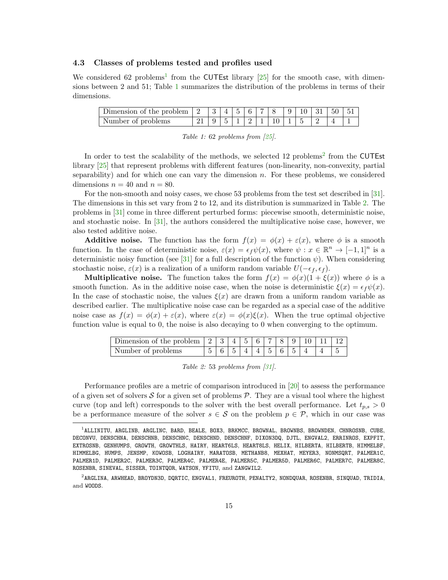## 4.3 Classes of problems tested and profiles used

We considered 62 problems<sup>1</sup> from the CUTEst library  $[25]$  for the smooth case, with dimensions between 2 and 51; Table 1 summarizes the distribution of the problems in terms of their dimensions.

| Number of problems |  |  |  | $1\ 5\ 1\ 1\ 2\ 1\ 1\ 10\ 1\ 1\ 5$ |  |  |  |
|--------------------|--|--|--|------------------------------------|--|--|--|

|  |  |  | Table 1: 62 problems from $[25]$ . |  |  |  |
|--|--|--|------------------------------------|--|--|--|
|--|--|--|------------------------------------|--|--|--|

In order to test the scalability of the methods, we selected 12 problems<sup>2</sup> from the CUTEst library [25] that represent problems with different features (non-linearity, non-convexity, partial separability) and for which one can vary the dimension  $n$ . For these problems, we considered dimensions  $n = 40$  and  $n = 80$ .

For the non-smooth and noisy cases, we chose 53 problems from the test set described in [31]. The dimensions in this set vary from 2 to 12, and its distribution is summarized in Table 2. The problems in [31] come in three different perturbed forms: piecewise smooth, deterministic noise, and stochastic noise. In [31], the authors considered the multiplicative noise case, however, we also tested additive noise.

**Additive noise.** The function has the form  $f(x) = \phi(x) + \varepsilon(x)$ , where  $\phi$  is a smooth function. In the case of deterministic noise,  $\varepsilon(x) = \epsilon_f \psi(x)$ , where  $\psi : x \in \mathbb{R}^n \to [-1,1]^n$  is a deterministic noisy function (see [31] for a full description of the function  $\psi$ ). When considering stochastic noise,  $\varepsilon(x)$  is a realization of a uniform random variable  $U(-\epsilon_f, \epsilon_f)$ .

**Multiplicative noise.** The function takes the form  $f(x) = \phi(x)(1 + \xi(x))$  where  $\phi$  is a smooth function. As in the additive noise case, when the noise is deterministic  $\xi(x) = \epsilon_f \psi(x)$ . In the case of stochastic noise, the values  $\xi(x)$  are drawn from a uniform random variable as described earlier. The multiplicative noise case can be regarded as a special case of the additive noise case as  $f(x) = \phi(x) + \varepsilon(x)$ , where  $\varepsilon(x) = \phi(x)\xi(x)$ . When the true optimal objective function value is equal to 0, the noise is also decaying to 0 when converging to the optimum.

| Dimension of the problem $ 2 3 4 5 6 7 8 9 10 11 12$ |  |  |  |  |              |  |
|------------------------------------------------------|--|--|--|--|--------------|--|
| Number of problems                                   |  |  |  |  | 156514145654 |  |

|  |  |  |  |  |  | Table 2: 53 problems from $[31]$ . |  |  |
|--|--|--|--|--|--|------------------------------------|--|--|
|--|--|--|--|--|--|------------------------------------|--|--|

Performance profiles are a metric of comparison introduced in [20] to assess the performance of a given set of solvers  $S$  for a given set of problems  $P$ . They are a visual tool where the highest curve (top and left) corresponds to the solver with the best overall performance. Let  $t_{p,s} > 0$ be a performance measure of the solver  $s \in \mathcal{S}$  on the problem  $p \in \mathcal{P}$ , which in our case was

<sup>1</sup> ALLINITU, ARGLINB, ARGLINC, BARD, BEALE, BOX3, BRKMCC, BROWNAL, BROWNBS, BROWNDEN, CHNROSNB, CUBE, DECONVU, DENSCHNA, DENSCHNB, DENSCHNC, DENSCHND, DENSCHNF, DIXON3DQ, DJTL, ENGVAL2, ERRINROS, EXPFIT, EXTROSNB, GENHUMPS, GROWTH, GROWTHLS, HAIRY, HEART6LS, HEART8LS, HELIX, HILBERTA, HILBERTB, HIMMELBF, HIMMELBG, HUMPS, JENSMP, KOWOSB, LOGHAIRY, MARATOSB, METHANB8, MEXHAT, MEYER3, NONMSQRT, PALMER1C, PALMER1D, PALMER2C, PALMER3C, PALMER4C, PALMER4E, PALMER5C, PALMER5D, PALMER6C, PALMER7C, PALMER8C, ROSENBR, SINEVAL, SISSER, TOINTQOR, WATSON, YFITU, and ZANGWIL2.

<sup>2</sup> ARGLINA, ARWHEAD, BROYDN3D, DQRTIC, ENGVAL1, FREUROTH, PENALTY2, NONDQUAR, ROSENBR, SINQUAD, TRIDIA, and WOODS.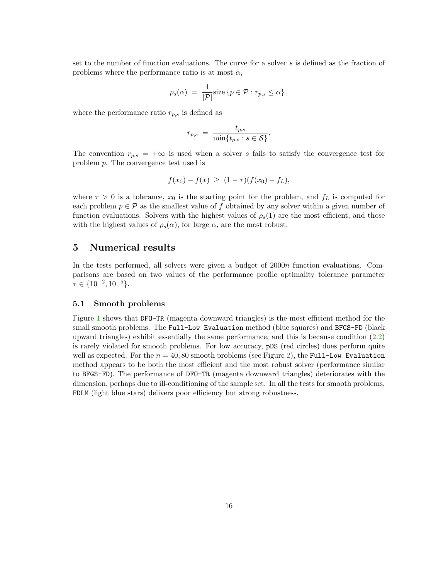set to the number of function evaluations. The curve for a solver s is defined as the fraction of problems where the performance ratio is at most  $\alpha$ ,

$$
\rho_s(\alpha) = \frac{1}{|\mathcal{P}|} \text{size} \left\{ p \in \mathcal{P} : r_{p,s} \leq \alpha \right\},\
$$

where the performance ratio  $r_{p,s}$  is defined as

$$
r_{p,s} = \frac{t_{p,s}}{\min\{t_{p,s} : s \in \mathcal{S}\}}.
$$

The convention  $r_{p,s} = +\infty$  is used when a solver s fails to satisfy the convergence test for problem p. The convergence test used is

$$
f(x_0) - f(x) \ge (1 - \tau)(f(x_0) - f_L),
$$

where  $\tau > 0$  is a tolerance,  $x_0$  is the starting point for the problem, and  $f_L$  is computed for each problem  $p \in \mathcal{P}$  as the smallest value of f obtained by any solver within a given number of function evaluations. Solvers with the highest values of  $\rho_s(1)$  are the most efficient, and those with the highest values of  $\rho_s(\alpha)$ , for large  $\alpha$ , are the most robust.

# 5 Numerical results

In the tests performed, all solvers were given a budget of 2000n function evaluations. Comparisons are based on two values of the performance profile optimality tolerance parameter  $\tau \in \{10^{-2}, 10^{-5}\}.$ 

#### 5.1 Smooth problems

Figure 1 shows that DFO-TR (magenta downward triangles) is the most efficient method for the small smooth problems. The Full-Low Evaluation method (blue squares) and BFGS-FD (black upward triangles) exhibit essentially the same performance, and this is because condition (2.2) is rarely violated for smooth problems. For low accuracy, pDS (red circles) does perform quite well as expected. For the  $n = 40, 80$  smooth problems (see Figure 2), the Full-Low Evaluation method appears to be both the most efficient and the most robust solver (performance similar to BFGS-FD). The performance of DFO-TR (magenta downward triangles) deteriorates with the dimension, perhaps due to ill-conditioning of the sample set. In all the tests for smooth problems, FDLM (light blue stars) delivers poor efficiency but strong robustness.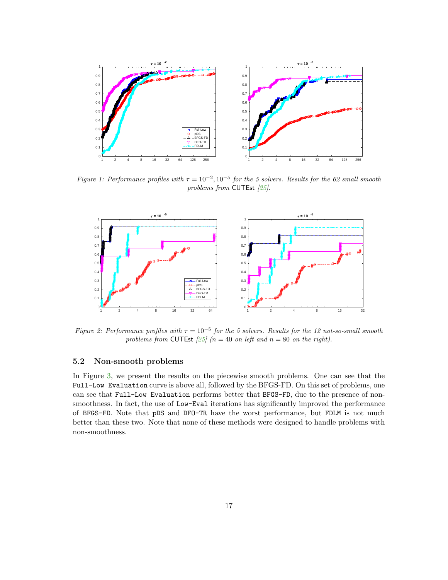

Figure 1: Performance profiles with  $\tau = 10^{-2}$ ,  $10^{-5}$  for the 5 solvers. Results for the 62 small smooth problems from CUTEst [25].



Figure 2: Performance profiles with  $\tau = 10^{-5}$  for the 5 solvers. Results for the 12 not-so-small smooth problems from CUTEst [25] ( $n = 40$  on left and  $n = 80$  on the right).

## 5.2 Non-smooth problems

In Figure 3, we present the results on the piecewise smooth problems. One can see that the Full-Low Evaluation curve is above all, followed by the BFGS-FD. On this set of problems, one can see that Full-Low Evaluation performs better that BFGS-FD, due to the presence of nonsmoothness. In fact, the use of Low-Eval iterations has significantly improved the performance of BFGS-FD. Note that pDS and DFO-TR have the worst performance, but FDLM is not much better than these two. Note that none of these methods were designed to handle problems with non-smoothness.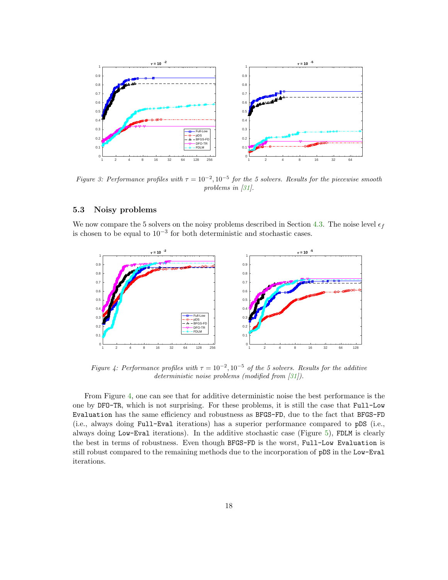

Figure 3: Performance profiles with  $\tau = 10^{-2}$ ,  $10^{-5}$  for the 5 solvers. Results for the piecewise smooth problems in [31].

## 5.3 Noisy problems

We now compare the 5 solvers on the noisy problems described in Section 4.3. The noise level  $\epsilon_f$ is chosen to be equal to  $10^{-3}$  for both deterministic and stochastic cases.



Figure 4: Performance profiles with  $\tau = 10^{-2}$ ,  $10^{-5}$  of the 5 solvers. Results for the additive deterministic noise problems (modified from [31]).

From Figure 4, one can see that for additive deterministic noise the best performance is the one by DFO-TR, which is not surprising. For these problems, it is still the case that Full-Low Evaluation has the same efficiency and robustness as BFGS-FD, due to the fact that BFGS-FD (i.e., always doing Full-Eval iterations) has a superior performance compared to pDS (i.e., always doing Low-Eval iterations). In the additive stochastic case (Figure 5), FDLM is clearly the best in terms of robustness. Even though BFGS-FD is the worst, Full-Low Evaluation is still robust compared to the remaining methods due to the incorporation of pDS in the Low-Eval iterations.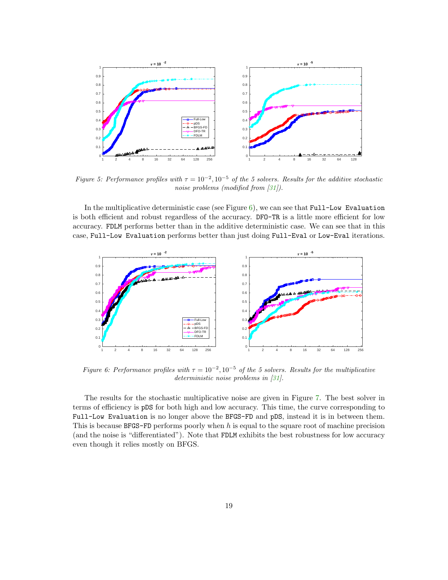

Figure 5: Performance profiles with  $\tau = 10^{-2}$ ,  $10^{-5}$  of the 5 solvers. Results for the additive stochastic noise problems (modified from [31]).

In the multiplicative deterministic case (see Figure  $6$ ), we can see that Full-Low Evaluation is both efficient and robust regardless of the accuracy. DFO-TR is a little more efficient for low accuracy. FDLM performs better than in the additive deterministic case. We can see that in this case, Full-Low Evaluation performs better than just doing Full-Eval or Low-Eval iterations.



Figure 6: Performance profiles with  $\tau = 10^{-2}$ ,  $10^{-5}$  of the 5 solvers. Results for the multiplicative deterministic noise problems in [31].

The results for the stochastic multiplicative noise are given in Figure 7. The best solver in terms of efficiency is pDS for both high and low accuracy. This time, the curve corresponding to Full-Low Evaluation is no longer above the BFGS-FD and pDS, instead it is in between them. This is because  $BFGS-FD$  performs poorly when h is equal to the square root of machine precision (and the noise is "differentiated"). Note that FDLM exhibits the best robustness for low accuracy even though it relies mostly on BFGS.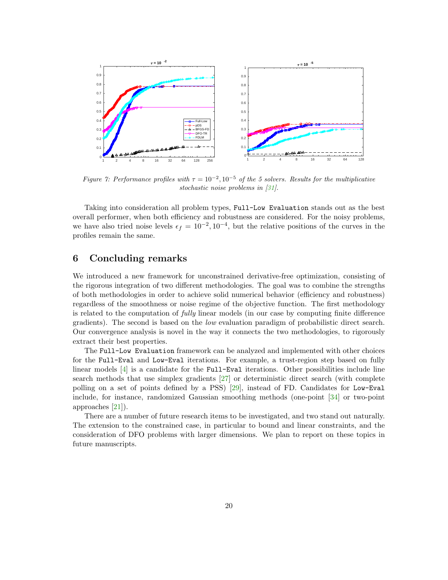

Figure 7: Performance profiles with  $\tau = 10^{-2}$ ,  $10^{-5}$  of the 5 solvers. Results for the multiplicative stochastic noise problems in [31].

Taking into consideration all problem types, Full-Low Evaluation stands out as the best overall performer, when both efficiency and robustness are considered. For the noisy problems, we have also tried noise levels  $\epsilon_f = 10^{-2}$ ,  $10^{-4}$ , but the relative positions of the curves in the profiles remain the same.

# 6 Concluding remarks

We introduced a new framework for unconstrained derivative-free optimization, consisting of the rigorous integration of two different methodologies. The goal was to combine the strengths of both methodologies in order to achieve solid numerical behavior (efficiency and robustness) regardless of the smoothness or noise regime of the objective function. The first methodology is related to the computation of fully linear models (in our case by computing finite difference gradients). The second is based on the low evaluation paradigm of probabilistic direct search. Our convergence analysis is novel in the way it connects the two methodologies, to rigorously extract their best properties.

The Full-Low Evaluation framework can be analyzed and implemented with other choices for the Full-Eval and Low-Eval iterations. For example, a trust-region step based on fully linear models [4] is a candidate for the Full-Eval iterations. Other possibilities include line search methods that use simplex gradients [27] or deterministic direct search (with complete polling on a set of points defined by a PSS) [29], instead of FD. Candidates for Low-Eval include, for instance, randomized Gaussian smoothing methods (one-point [34] or two-point approaches [21]).

There are a number of future research items to be investigated, and two stand out naturally. The extension to the constrained case, in particular to bound and linear constraints, and the consideration of DFO problems with larger dimensions. We plan to report on these topics in future manuscripts.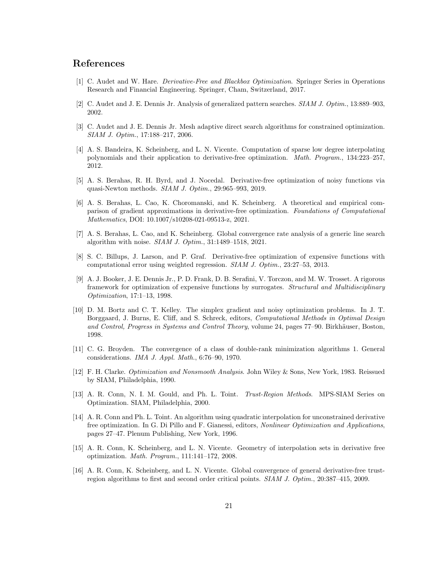# References

- [1] C. Audet and W. Hare. Derivative-Free and Blackbox Optimization. Springer Series in Operations Research and Financial Engineering. Springer, Cham, Switzerland, 2017.
- [2] C. Audet and J. E. Dennis Jr. Analysis of generalized pattern searches. SIAM J. Optim., 13:889–903, 2002.
- [3] C. Audet and J. E. Dennis Jr. Mesh adaptive direct search algorithms for constrained optimization. SIAM J. Optim., 17:188–217, 2006.
- [4] A. S. Bandeira, K. Scheinberg, and L. N. Vicente. Computation of sparse low degree interpolating polynomials and their application to derivative-free optimization. Math. Program., 134:223–257, 2012.
- [5] A. S. Berahas, R. H. Byrd, and J. Nocedal. Derivative-free optimization of noisy functions via quasi-Newton methods. SIAM J. Optim., 29:965–993, 2019.
- [6] A. S. Berahas, L. Cao, K. Choromanski, and K. Scheinberg. A theoretical and empirical comparison of gradient approximations in derivative-free optimization. Foundations of Computational Mathematics, DOI: 10.1007/s10208-021-09513-z, 2021.
- [7] A. S. Berahas, L. Cao, and K. Scheinberg. Global convergence rate analysis of a generic line search algorithm with noise. SIAM J. Optim., 31:1489–1518, 2021.
- [8] S. C. Billups, J. Larson, and P. Graf. Derivative-free optimization of expensive functions with computational error using weighted regression. SIAM J. Optim., 23:27–53, 2013.
- [9] A. J. Booker, J. E. Dennis Jr., P. D. Frank, D. B. Serafini, V. Torczon, and M. W. Trosset. A rigorous framework for optimization of expensive functions by surrogates. Structural and Multidisciplinary Optimization, 17:1–13, 1998.
- [10] D. M. Bortz and C. T. Kelley. The simplex gradient and noisy optimization problems. In J. T. Borggaard, J. Burns, E. Cliff, and S. Schreck, editors, Computational Methods in Optimal Design and Control, Progress in Systems and Control Theory, volume 24, pages 77–90. Birkhäuser, Boston, 1998.
- [11] C. G. Broyden. The convergence of a class of double-rank minimization algorithms 1. General considerations. IMA J. Appl. Math., 6:76–90, 1970.
- [12] F. H. Clarke. Optimization and Nonsmooth Analysis. John Wiley & Sons, New York, 1983. Reissued by SIAM, Philadelphia, 1990.
- [13] A. R. Conn, N. I. M. Gould, and Ph. L. Toint. Trust-Region Methods. MPS-SIAM Series on Optimization. SIAM, Philadelphia, 2000.
- [14] A. R. Conn and Ph. L. Toint. An algorithm using quadratic interpolation for unconstrained derivative free optimization. In G. Di Pillo and F. Gianessi, editors, Nonlinear Optimization and Applications, pages 27–47. Plenum Publishing, New York, 1996.
- [15] A. R. Conn, K. Scheinberg, and L. N. Vicente. Geometry of interpolation sets in derivative free optimization. Math. Program., 111:141–172, 2008.
- [16] A. R. Conn, K. Scheinberg, and L. N. Vicente. Global convergence of general derivative-free trustregion algorithms to first and second order critical points. SIAM J. Optim., 20:387–415, 2009.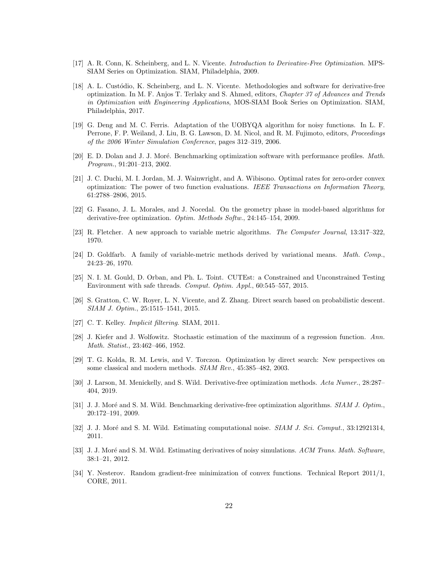- [17] A. R. Conn, K. Scheinberg, and L. N. Vicente. Introduction to Derivative-Free Optimization. MPS-SIAM Series on Optimization. SIAM, Philadelphia, 2009.
- [18] A. L. Custódio, K. Scheinberg, and L. N. Vicente. Methodologies and software for derivative-free optimization. In M. F. Anjos T. Terlaky and S. Ahmed, editors, Chapter 37 of Advances and Trends in Optimization with Engineering Applications, MOS-SIAM Book Series on Optimization. SIAM, Philadelphia, 2017.
- [19] G. Deng and M. C. Ferris. Adaptation of the UOBYQA algorithm for noisy functions. In L. F. Perrone, F. P. Weiland, J. Liu, B. G. Lawson, D. M. Nicol, and R. M. Fujimoto, editors, Proceedings of the 2006 Winter Simulation Conference, pages 312–319, 2006.
- [20] E. D. Dolan and J. J. Moré. Benchmarking optimization software with performance profiles. Math. Program., 91:201–213, 2002.
- [21] J. C. Duchi, M. I. Jordan, M. J. Wainwright, and A. Wibisono. Optimal rates for zero-order convex optimization: The power of two function evaluations. IEEE Transactions on Information Theory, 61:2788–2806, 2015.
- [22] G. Fasano, J. L. Morales, and J. Nocedal. On the geometry phase in model-based algorithms for derivative-free optimization. Optim. Methods Softw., 24:145–154, 2009.
- [23] R. Fletcher. A new approach to variable metric algorithms. The Computer Journal, 13:317–322, 1970.
- [24] D. Goldfarb. A family of variable-metric methods derived by variational means. Math. Comp., 24:23–26, 1970.
- [25] N. I. M. Gould, D. Orban, and Ph. L. Toint. CUTEst: a Constrained and Unconstrained Testing Environment with safe threads. Comput. Optim. Appl., 60:545–557, 2015.
- [26] S. Gratton, C. W. Royer, L. N. Vicente, and Z. Zhang. Direct search based on probabilistic descent. SIAM J. Optim., 25:1515–1541, 2015.
- [27] C. T. Kelley. Implicit filtering. SIAM, 2011.
- [28] J. Kiefer and J. Wolfowitz. Stochastic estimation of the maximum of a regression function. Ann. Math. Statist., 23:462–466, 1952.
- [29] T. G. Kolda, R. M. Lewis, and V. Torczon. Optimization by direct search: New perspectives on some classical and modern methods. SIAM Rev., 45:385–482, 2003.
- [30] J. Larson, M. Menickelly, and S. Wild. Derivative-free optimization methods. Acta Numer., 28:287– 404, 2019.
- [31] J. J. Moré and S. M. Wild. Benchmarking derivative-free optimization algorithms. SIAM J. Optim., 20:172–191, 2009.
- [32] J. J. Moré and S. M. Wild. Estimating computational noise. SIAM J. Sci. Comput., 33:12921314, 2011.
- [33] J. J. Moré and S. M. Wild. Estimating derivatives of noisy simulations. ACM Trans. Math. Software, 38:1–21, 2012.
- [34] Y. Nesterov. Random gradient-free minimization of convex functions. Technical Report 2011/1, CORE, 2011.